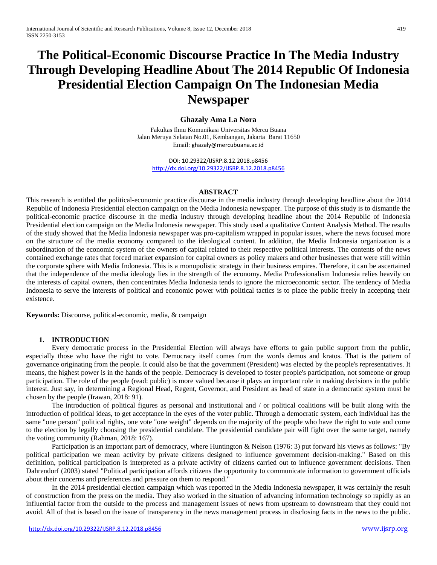# **The Political-Economic Discourse Practice In The Media Industry Through Developing Headline About The 2014 Republic Of Indonesia Presidential Election Campaign On The Indonesian Media Newspaper**

## **Ghazaly Ama La Nora**

Fakultas Ilmu Komunikasi Universitas Mercu Buana Jalan Meruya Selatan No.01, Kembangan, Jakarta Barat 11650 Email: [ghazaly@mercubuana.ac.id](mailto:ghazaly@mercubuana.ac.id)

DOI: 10.29322/IJSRP.8.12.2018.p8456 <http://dx.doi.org/10.29322/IJSRP.8.12.2018.p8456>

#### **ABSTRACT**

This research is entitled the political-economic practice discourse in the media industry through developing headline about the 2014 Republic of Indonesia Presidential election campaign on the Media Indonesia newspaper. The purpose of this study is to dismantle the political-economic practice discourse in the media industry through developing headline about the 2014 Republic of Indonesia Presidential election campaign on the Media Indonesia newspaper. This study used a qualitative Content Analysis Method. The results of the study showed that the Media Indonesia newspaper was pro-capitalism wrapped in popular issues, where the news focused more on the structure of the media economy compared to the ideological content. In addition, the Media Indonesia organization is a subordination of the economic system of the owners of capital related to their respective political interests. The contents of the news contained exchange rates that forced market expansion for capital owners as policy makers and other businesses that were still within the corporate sphere with Media Indonesia. This is a monopolistic strategy in their business empires. Therefore, it can be ascertained that the independence of the media ideology lies in the strength of the economy. Media Professionalism Indonesia relies heavily on the interests of capital owners, then concentrates Media Indonesia tends to ignore the microeconomic sector. The tendency of Media Indonesia to serve the interests of political and economic power with political tactics is to place the public freely in accepting their existence.

**Keywords:** Discourse, political-economic, media, & campaign

### **1. INTRODUCTION**

Every democratic process in the Presidential Election will always have efforts to gain public support from the public, especially those who have the right to vote. Democracy itself comes from the words demos and kratos. That is the pattern of governance originating from the people. It could also be that the government (President) was elected by the people's representatives. It means, the highest power is in the hands of the people. Democracy is developed to foster people's participation, not someone or group participation. The role of the people (read: public) is more valued because it plays an important role in making decisions in the public interest. Just say, in determining a Regional Head, Regent, Governor, and President as head of state in a democratic system must be chosen by the people (Irawan, 2018: 91).

The introduction of political figures as personal and institutional and / or political coalitions will be built along with the introduction of political ideas, to get acceptance in the eyes of the voter public. Through a democratic system, each individual has the same "one person" political rights, one vote "one weight" depends on the majority of the people who have the right to vote and come to the election by legally choosing the presidential candidate. The presidential candidate pair will fight over the same target, namely the voting community (Rahman, 2018: 167).

Participation is an important part of democracy, where Huntington & Nelson (1976: 3) put forward his views as follows: "By political participation we mean activity by private citizens designed to influence government decision-making." Based on this definition, political participation is interpreted as a private activity of citizens carried out to influence government decisions. Then Dahrendorf (2003) stated "Political participation affords citizens the opportunity to communicate information to government officials about their concerns and preferences and pressure on them to respond."

In the 2014 presidential election campaign which was reported in the Media Indonesia newspaper, it was certainly the result of construction from the press on the media. They also worked in the situation of advancing information technology so rapidly as an influential factor from the outside to the process and management issues of news from upstream to downstream that they could not avoid. All of that is based on the issue of transparency in the news management process in disclosing facts in the news to the public.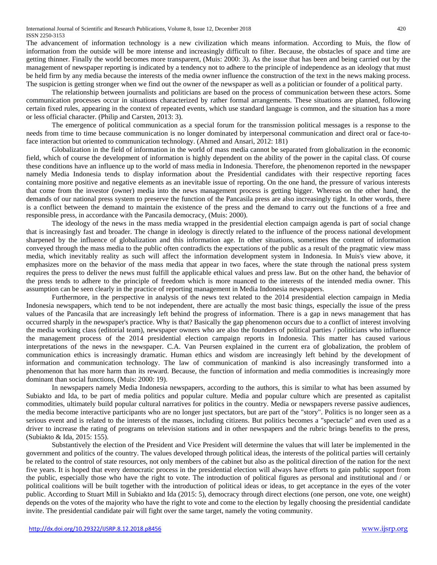The advancement of information technology is a new civilization which means information. According to Muis, the flow of information from the outside will be more intense and increasingly difficult to filter. Because, the obstacles of space and time are getting thinner. Finally the world becomes more transparent, (Muis: 2000: 3). As the issue that has been and being carried out by the management of newspaper reporting is indicated by a tendency not to adhere to the principle of independence as an ideology that must be held firm by any media because the interests of the media owner influence the construction of the text in the news making process. The suspicion is getting stronger when we find out the owner of the newspaper as well as a politician or founder of a political party.

The relationship between journalists and politicians are based on the process of communication between these actors. Some communication processes occur in situations characterized by rather formal arrangements. These situations are planned, following certain fixed rules, appearing in the context of repeated events, which use standard language is common, and the situation has a more or less official character. (Philip and Carsten, 2013: 3).

The emergence of political communication as a special forum for the transmission political messages is a response to the needs from time to time because communication is no longer dominated by interpersonal communication and direct oral or face-toface interaction but oriented to communication technology. (Ahmed and Ansari, 2012: 181)

Globalization in the field of information in the world of mass media cannot be separated from globalization in the economic field, which of course the development of information is highly dependent on the ability of the power in the capital class. Of course these conditions have an influence up to the world of mass media in Indonesia. Therefore, the phenomenon reported in the newspaper namely Media Indonesia tends to display information about the Presidential candidates with their respective reporting faces containing more positive and negative elements as an inevitable issue of reporting. On the one hand, the pressure of various interests that come from the investor (owner) media into the news management process is getting bigger. Whereas on the other hand, the demands of our national press system to preserve the function of the Pancasila press are also increasingly tight. In other words, there is a conflict between the demand to maintain the existence of the press and the demand to carry out the functions of a free and responsible press, in accordance with the Pancasila democracy, (Muis: 2000).

The ideology of the news in the mass media wrapped in the presidential election campaign agenda is part of social change that is increasingly fast and broader. The change in ideology is directly related to the influence of the process national development sharpened by the influence of globalization and this information age. In other situations, sometimes the content of information conveyed through the mass media to the public often contradicts the expectations of the public as a result of the pragmatic view mass media, which inevitably reality as such will affect the information development system in Indonesia. In Muis's view above, it emphasizes more on the behavior of the mass media that appear in two faces, where the state through the national press system requires the press to deliver the news must fulfill the applicable ethical values and press law. But on the other hand, the behavior of the press tends to adhere to the principle of freedom which is more nuanced to the interests of the intended media owner. This assumption can be seen clearly in the practice of reporting management in Media Indonesia newspapers.

Furthermore, in the perspective in analysis of the news text related to the 2014 presidential election campaign in Media Indonesia newspapers, which tend to be not independent, there are actually the most basic things, especially the issue of the press values of the Pancasila that are increasingly left behind the progress of information. There is a gap in news management that has occurred sharply in the newspaper's practice. Why is that? Basically the gap phenomenon occurs due to a conflict of interest involving the media working class (editorial team), newspaper owners who are also the founders of political parties / politicians who influence the management process of the 2014 presidential election campaign reports in Indonesia. This matter has caused various interpretations of the news in the newspaper. C.A. Van Peursen explained in the current era of globalization, the problem of communication ethics is increasingly dramatic. Human ethics and wisdom are increasingly left behind by the development of information and communication technology. The law of communication of mankind is also increasingly transformed into a phenomenon that has more harm than its reward. Because, the function of information and media commodities is increasingly more dominant than social functions, (Muis: 2000: 19).

In newspapers namely Media Indonesia newspapers, according to the authors, this is similar to what has been assumed by Subiakto and Ida, to be part of media politics and popular culture. Media and popular culture which are presented as capitalist commodities, ultimately build popular cultural narratives for politics in the country. Media or newspapers reverse passive audiences, the media become interactive participants who are no longer just spectators, but are part of the "story". Politics is no longer seen as a serious event and is related to the interests of the masses, including citizens. But politics becomes a "spectacle" and even used as a driver to increase the rating of programs on television stations and in other newspapers and the rubric brings benefits to the press, (Subiakto & Ida, 2015: 155).

Substantively the election of the President and Vice President will determine the values that will later be implemented in the government and politics of the country. The values developed through political ideas, the interests of the political parties will certainly be related to the control of state resources, not only members of the cabinet but also as the political direction of the nation for the next five years. It is hoped that every democratic process in the presidential election will always have efforts to gain public support from the public, especially those who have the right to vote. The introduction of political figures as personal and institutional and / or political coalitions will be built together with the introduction of political ideas or ideas, to get acceptance in the eyes of the voter public. According to Stuart Mill in Subiakto and Ida (2015: 5), democracy through direct elections (one person, one vote, one weight) depends on the votes of the majority who have the right to vote and come to the election by legally choosing the presidential candidate invite. The presidential candidate pair will fight over the same target, namely the voting community.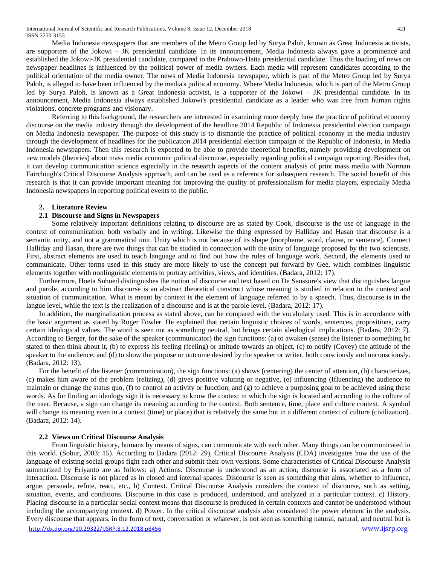Media Indonesia newspapers that are members of the Metro Group led by Surya Paloh, known as Great Indonesia activists, are supporters of the Jokowi – JK presidential candidate. In its announcement, Media Indonesia always gave a prominence and established the Jokowi-JK presidential candidate, compared to the Prabowo-Hatta presidential candidate. Thus the loading of news on newspaper headlines is influenced by the political power of media owners. Each media will represent candidates according to the political orientation of the media owner. The news of Media Indonesia newspaper, which is part of the Metro Group led by Surya Paloh, is alleged to have been influenced by the media's political economy. Where Media Indonesia, which is part of the Metro Group led by Surya Paloh, is known as a Great Indonesia activist, is a supporter of the Jokowi – JK presidential candidate. In its announcement, Media Indonesia always established Jokowi's presidential candidate as a leader who was free from human rights violations, concrete programs and visionary.

Referring to this background, the researchers are interested in examining more deeply how the practice of political economy discourse on the media industry through the development of the headline 2014 Republic of Indonesia presidential election campaign on Media Indonesia newspaper. The purpose of this study is to dismantle the practice of political economy in the media industry through the development of headlines for the publication 2014 presidential election campaign of the Republic of Indonesia, in Media Indonesia newspapers. Then this research is expected to be able to provide theoretical benefits, namely providing development on new models (theories) about mass media economic political discourse, especially regarding political campaign reporting. Besides that, it can develop communication science especially in the research aspects of the content analysis of print mass media with Norman Fairclough's Critical Discourse Analysis approach, and can be used as a reference for subsequent research. The social benefit of this research is that it can provide important meaning for improving the quality of professionalism for media players, especially Media Indonesia newspapers in reporting political events to the public.

#### **2. Literature Review**

### **2.1 Discourse and Signs in Newspapers**

Some relatively important definitions relating to discourse are as stated by Cook, discourse is the use of language in the context of communication, both verbally and in writing. Likewise the thing expressed by Halliday and Hasan that discourse is a semantic unity, and not a grammatical unit. Unity which is not because of its shape (morpheme, word, clause, or sentence). Connect Halliday and Hasan, there are two things that can be studied in connection with the unity of language proposed by the two scientists. First, abstract elements are used to teach language and to find out how the rules of language work. Second, the elements used to communicate. Other terms used in this study are more likely to use the concept put forward by Gee, which combines linguistic elements together with nonlinguistic elements to portray activities, views, and identities. (Badara, 2012: 17).

Furthermore, Hoeta Suhoed distinguishes the notion of discourse and text based on De Saussure's view that distinguishes langue and parole, according to him discourse is an abstract theoretical construct whose meaning is studied in relation to the context and situation of communication. What is meant by context is the element of language referred to by a speech. Thus, discourse is in the langue level, while the text is the realization of a discourse and is at the parole level. (Badara, 2012: 17).

In addition, the marginalization process as stated above, can be compared with the vocabulary used. This is in accordance with the basic argument as stated by Roger Fowler. He explained that certain linguistic choices of words, sentences, propositions, carry certain ideological values. The word is seen not as something neutral, but brings certain ideological implications. (Badara, 2012: 7). According to Berger, for the sake of the speaker (communicator) the sign functions: (a) to awaken (sense) the listener to something he stated to then think about it, (b) to express his feeling (feeling) or attitude towards an object, (c) to notify (Covey) the attitude of the speaker to the audience, and (d) to show the purpose or outcome desired by the speaker or writer, both consciously and unconsciously. (Badara, 2012: 13).

For the benefit of the listener (communication), the sign functions: (a) shows (centering) the center of attention, (b) characterizes, (c) makes him aware of the problem (relizing), (d) gives positive valuting or negative, (e) influencing (Ifluencing) the audience to maintain or change the status quo, (f) to control an activity or function, and (g) to achieve a purposing goal to be achieved using these words. As for finding an ideology sign it is necessary to know the context in which the sign is located and according to the culture of the user. Because, a sign can change its meaning according to the context. Both sentence, time, place and culture context. A symbol will change its meaning even in a context (time) or place) that is relatively the same but in a different context of culture (civilization). (Badara, 2012: 14).

#### **2.2 Views on Critical Discourse Analysis**

<http://dx.doi.org/10.29322/IJSRP.8.12.2018.p8456> [www.ijsrp.org](http://ijsrp.org/) From linguistic history, humans by means of signs, can communicate with each other. Many things can be communicated in this world. (Sobur, 2003: 15). According to Badara (2012: 29), Critical Discourse Analysis (CDA) investigates how the use of the language of existing social groups fight each other and submit their own versions. Some characteristics of Critical Discourse Analysis summarized by Eriyanto are as follows: a) Actions. Discourse is understood as an action, discourse is associated as a form of interaction. Discourse is not placed as in closed and internal spaces. Discourse is seen as something that aims, whether to influence, argue, persuade, refute, react, etc., b) Context. Critical Discourse Analysis considers the context of discourse, such as setting, situation, events, and conditions. Discourse in this case is produced, understood, and analyzed in a particular context. c) History. Placing discourse in a particular social context means that discourse is produced in certain contexts and cannot be understood without including the accompanying context. d) Power. In the critical discourse analysis also considered the power element in the analysis. Every discourse that appears, in the form of text, conversation or whatever, is not seen as something natural, natural, and neutral but is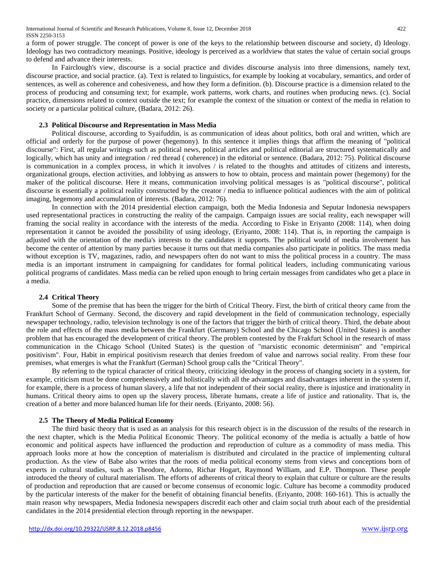a form of power struggle. The concept of power is one of the keys to the relationship between discourse and society, d) Ideology. Ideology has two contradictory meanings. Positive, ideology is perceived as a worldview that states the value of certain social groups to defend and advance their interests.

In Fairclough's view, discourse is a social practice and divides discourse analysis into three dimensions, namely text, discourse practice, and social practice. (a). Text is related to linguistics, for example by looking at vocabulary, semantics, and order of sentences, as well as coherence and cohesiveness, and how they form a definition. (b). Discourse practice is a dimension related to the process of producing and consuming text; for example, work patterns, work charts, and routines when producing news. (c). Social practice, dimensions related to context outside the text; for example the context of the situation or context of the media in relation to society or a particular political culture, (Badara, 2012: 26).

# **2.3 Political Discourse and Representation in Mass Media**

Political discourse, according to Syaifuddin, is as communication of ideas about politics, both oral and written, which are official and orderly for the purpose of power (hegemony). In this sentence it implies things that affirm the meaning of "political discourse": First, all regular writings such as political news, political articles and political editorial are structured systematically and logically, which has unity and integration / red thread ( coherence) in the editorial or sentence. (Badara, 2012: 75). Political discourse is communication in a complex process, in which it involves / is related to the thoughts and attitudes of citizens and interests, organizational groups, election activities, and lobbying as answers to how to obtain, process and maintain power (hegemony) for the maker of the political discourse. Here it means, communication involving political messages is as "political discourse", political discourse is essentially a political reality constructed by the creator / media to influence political audiences with the aim of political imaging, hegemony and accumulation of interests. (Badara, 2012: 76).

In connection with the 2014 presidential election campaign, both the Media Indonesia and Seputar Indonesia newspapers used representational practices in constructing the reality of the campaign. Campaign issues are social reality, each newspaper will framing the social reality in accordance with the interests of the media. According to Fiske in Eriyanto (2008: 114), when doing representation it cannot be avoided the possibility of using ideology, (Eriyanto, 2008: 114). That is, in reporting the campaign is adjusted with the orientation of the media's interests to the candidates it supports. The political world of media involvement has become the center of attention by many parties because it turns out that media companies also participate in politics. The mass media without exception is TV, magazines, radio, and newspapers often do not want to miss the political process in a country. The mass media is an important instrument in campaigning for candidates for formal political leaders, including communicating various political programs of candidates. Mass media can be relied upon enough to bring certain messages from candidates who get a place in a media.

### **2.4 Critical Theory**

Some of the premise that has been the trigger for the birth of Critical Theory. First, the birth of critical theory came from the Frankfurt School of Germany. Second, the discovery and rapid development in the field of communication technology, especially newspaper technology, radio, television technology is one of the factors that trigger the birth of critical theory. Third, the debate about the role and effects of the mass media between the Frankfurt (Germany) School and the Chicago School (United States) is another problem that has encouraged the development of critical theory. The problem contested by the Frakfurt School in the research of mass communication in the Chicago School (United States) is the question of "marxistic economic determinism" and "empirical positivism". Four, Habit in empirical positivism research that denies freedom of value and narrows social reality. From these four premises, what emerges is what the Frankfurt (German) School group calls the "Critical Theory".

By referring to the typical character of critical theory, criticizing ideology in the process of changing society in a system, for example, criticism must be done comprehensively and holistically with all the advantages and disadvantages inherent in the system if, for example, there is a process of human slavery, a life that not independent of their social reality, there is injustice and irrationality in humans. Critical theory aims to open up the slavery process, liberate humans, create a life of justice and rationality. That is, the creation of a better and more balanced human life for their needs. (Eriyanto, 2008: 56).

### **2.5 The Theory of Media Political Economy**

The third basic theory that is used as an analysis for this research object is in the discussion of the results of the research in the next chapter, which is the Media Political Economic Theory. The political economy of the media is actually a battle of how economic and political aspects have influenced the production and reproduction of culture as a commodity of mass media. This approach looks more at how the conception of materialism is distributed and circulated in the practice of implementing cultural production. As the view of Babe also writes that the roots of media political economy stems from views and conceptions born of experts in cultural studies, such as Theodore, Adorno, Richar Hogart, Raymond William, and E.P. Thompson. These people introduced the theory of cultural materialism. The efforts of adherents of critical theory to explain that culture or culture are the results of production and reproduction that are caused or become consensus of economic logic. Culture has become a commodity produced by the particular interests of the maker for the benefit of obtaining financial benefits. (Eriyanto, 2008: 160-161). This is actually the main reason why newspapers, Media Indonesia newspapers discredit each other and claim social truth about each of the presidential candidates in the 2014 presidential election through reporting in the newspaper.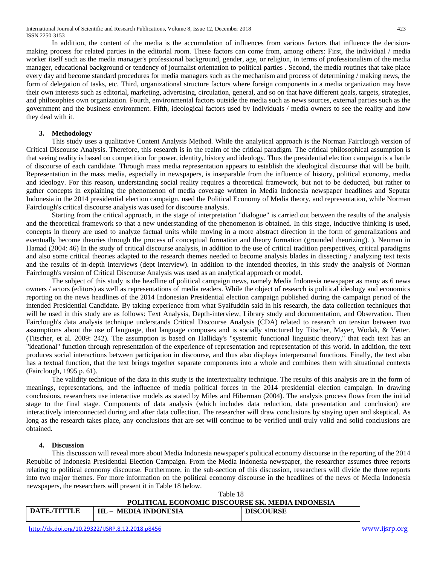In addition, the content of the media is the accumulation of influences from various factors that influence the decisionmaking process for related parties in the editorial room. These factors can come from, among others: First, the individual / media worker itself such as the media manager's professional background, gender, age, or religion, in terms of professionalism of the media manager, educational background or tendency of journalist orientation to political parties . Second, the media routines that take place every day and become standard procedures for media managers such as the mechanism and process of determining / making news, the form of delegation of tasks, etc. Third, organizational structure factors where foreign components in a media organization may have their own interests such as editorial, marketing, advertising, circulation, general, and so on that have different goals, targets, strategies, and philosophies own organization. Fourth, environmental factors outside the media such as news sources, external parties such as the government and the business environment. Fifth, ideological factors used by individuals / media owners to see the reality and how they deal with it.

## **3. Methodology**

This study uses a qualitative Content Analysis Method. While the analytical approach is the Norman Fairclough version of Critical Discourse Analysis. Therefore, this research is in the realm of the critical paradigm. The critical philosophical assumption is that seeing reality is based on competition for power, identity, history and ideology. Thus the presidential election campaign is a battle of discourse of each candidate. Through mass media representation appears to establish the ideological discourse that will be built. Representation in the mass media, especially in newspapers, is inseparable from the influence of history, political economy, media and ideology. For this reason, understanding social reality requires a theoretical framework, but not to be deducted, but rather to gather concepts in explaining the phenomenon of media coverage written in Media Indonesia newspaper headlines and Seputar Indonesia in the 2014 presidential election campaign. used the Political Economy of Media theory, and representation, while Norman Fairclough's critical discourse analysis was used for discourse analysis.

Starting from the critical approach, in the stage of interpretation "dialogue" is carried out between the results of the analysis and the theoretical framework so that a new understanding of the phenomenon is obtained. In this stage, inductive thinking is used, concepts in theory are used to analyze factual units while moving in a more abstract direction in the form of generalizations and eventually become theories through the process of conceptual formation and theory formation (grounded theorizing). ), Neuman in Hamad (2004: 46) In the study of critical discourse analysis, in addition to the use of critical tradition perspectives, critical paradigms and also some critical theories adapted to the research themes needed to become analysis blades in dissecting / analyzing text texts and the results of in-depth interviews (dept interview). In addition to the intended theories, in this study the analysis of Norman Fairclough's version of Critical Discourse Analysis was used as an analytical approach or model.

The subject of this study is the headline of political campaign news, namely Media Indonesia newspaper as many as 6 news owners / actors (editors) as well as representations of media readers. While the object of research is political ideology and economics reporting on the news headlines of the 2014 Indonesian Presidential election campaign published during the campaign period of the intended Presidential Candidate. By taking experience from what Syaifuddin said in his research, the data collection techniques that will be used in this study are as follows: Text Analysis, Depth-interview, Library study and documentation, and Observation. Then Fairclough's data analysis technique understands Critical Discourse Analysis (CDA) related to research on tension between two assumptions about the use of language, that language composes and is socially structured by Titscher, Mayer, Wodak, & Vetter. (Titscher, et al. 2009: 242). The assumption is based on Halliday's "systemic functional linguistic theory," that each text has an "ideational" function through representation of the experience of representation and representation of this world. In addition, the text produces social interactions between participation in discourse, and thus also displays interpersonal functions. Finally, the text also has a textual function, that the text brings together separate components into a whole and combines them with situational contexts (Fairclough, 1995 p. 61).

The validity technique of the data in this study is the intertextuality technique. The results of this analysis are in the form of meanings, representations, and the influence of media political forces in the 2014 presidential election campaign. In drawing conclusions, researchers use interactive models as stated by Miles and Hiberman (2004). The analysis process flows from the initial stage to the final stage. Components of data analysis (which includes data reduction, data presentation and conclusion) are interactively interconnected during and after data collection. The researcher will draw conclusions by staying open and skeptical. As long as the research takes place, any conclusions that are set will continue to be verified until truly valid and solid conclusions are obtained.

### **4. Discussion**

This discussion will reveal more about Media Indonesia newspaper's political economy discourse in the reporting of the 2014 Republic of Indonesia Presidential Election Campaign. From the Media Indonesia newspaper, the researcher assumes three reports relating to political economy discourse. Furthermore, in the sub-section of this discussion, researchers will divide the three reports into two major themes. For more information on the political economy discourse in the headlines of the news of Media Indonesia newspapers, the researchers will present it in Table 18 below.

|              | Table 18                                         |                  |  |
|--------------|--------------------------------------------------|------------------|--|
|              | POLITICAL ECONOMIC DISCOURSE SK. MEDIA INDONESIA |                  |  |
| DATE./TITTLE | HL – MEDIA INDONESIA                             | <b>DISCOURSE</b> |  |
|              |                                                  |                  |  |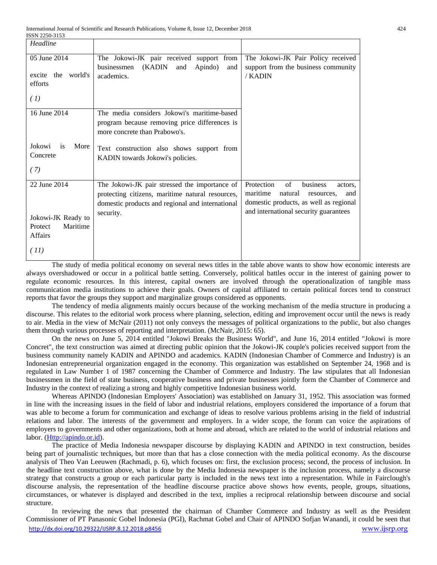| Headline             |                                                  |                                          |
|----------------------|--------------------------------------------------|------------------------------------------|
| 05 June 2014         | The Jokowi-JK pair received support<br>from      | The Jokowi-JK Pair Policy received       |
|                      | (KADIN<br>Apindo)<br>businessmen<br>and<br>and   | support from the business community      |
| excite the world's   | academics.                                       | / KADIN                                  |
| efforts              |                                                  |                                          |
|                      |                                                  |                                          |
| (1)                  |                                                  |                                          |
|                      |                                                  |                                          |
| 16 June 2014         | The media considers Jokowi's maritime-based      |                                          |
|                      | program because removing price differences is    |                                          |
|                      | more concrete than Prabowo's.                    |                                          |
|                      |                                                  |                                          |
| Jokowi<br>More<br>is | Text construction also shows support from        |                                          |
| Concrete             | KADIN towards Jokowi's policies.                 |                                          |
| (7)                  |                                                  |                                          |
|                      |                                                  |                                          |
| 22 June 2014         | The Jokowi-JK pair stressed the importance of    | Protection<br>of<br>business<br>actors.  |
|                      | protecting citizens, maritime natural resources, | maritime<br>natural<br>resources.<br>and |
|                      | domestic products and regional and international | domestic products, as well as regional   |
|                      |                                                  | and international security guarantees    |
| Jokowi-JK Ready to   | security.                                        |                                          |
| Maritime<br>Protect  |                                                  |                                          |
| <b>Affairs</b>       |                                                  |                                          |
|                      |                                                  |                                          |
| (11)                 |                                                  |                                          |
|                      |                                                  |                                          |

The study of media political economy on several news titles in the table above wants to show how economic interests are always overshadowed or occur in a political battle setting. Conversely, political battles occur in the interest of gaining power to regulate economic resources. In this interest, capital owners are involved through the operationalization of tangible mass communication media institutions to achieve their goals. Owners of capital affiliated to certain political forces tend to construct reports that favor the groups they support and marginalize groups considered as opponents.

The tendency of media alignments mainly occurs because of the working mechanism of the media structure in producing a discourse. This relates to the editorial work process where planning, selection, editing and improvement occur until the news is ready to air. Media in the view of McNair (2011) not only conveys the messages of political organizations to the public, but also changes them through various processes of reporting and interpretation. (McNair, 2015: 65).

On the news on June 5, 2014 entitled "Jokowi Breaks the Business World", and June 16, 2014 entitled "Jokowi is more Concret", the text construction was aimed at directing public opinion that the Jokowi-JK couple's policies received support from the business community namely KADIN and APINDO and academics. KADIN (Indonesian Chamber of Commerce and Industry) is an Indonesian entrepreneurial organization engaged in the economy. This organization was established on September 24, 1968 and is regulated in Law Number 1 of 1987 concerning the Chamber of Commerce and Industry. The law stipulates that all Indonesian businessmen in the field of state business, cooperative business and private businesses jointly form the Chamber of Commerce and Industry in the context of realizing a strong and highly competitive Indonesian business world.

Whereas APINDO (Indonesian Employers' Association) was established on January 31, 1952. This association was formed in line with the increasing issues in the field of labor and industrial relations, employers considered the importance of a forum that was able to become a forum for communication and exchange of ideas to resolve various problems arising in the field of industrial relations and labor. The interests of the government and employers. In a wider scope, the forum can voice the aspirations of employers to governments and other organizations, both at home and abroad, which are related to the world of industrial relations and labor. (*Http://apindo.or.id*).

The practice of Media Indonesia newspaper discourse by displaying KADIN and APINDO in text construction, besides being part of journalistic techniques, but more than that has a close connection with the media political economy. As the discourse analysis of Theo Van Leeuwen (Rachmadi, p. 6), which focuses on: first, the exclusion process; second, the process of inclusion. In the headline text construction above, what is done by the Media Indonesia newspaper is the inclusion process, namely a discourse strategy that constructs a group or each particular party is included in the news text into a representation. While in Fairclough's discourse analysis, the representation of the headline discourse practice above shows how events, people, groups, situations, circumstances, or whatever is displayed and described in the text, implies a reciprocal relationship between discourse and social structure.

<http://dx.doi.org/10.29322/IJSRP.8.12.2018.p8456> [www.ijsrp.org](http://ijsrp.org/) In reviewing the news that presented the chairman of Chamber Commerce and Industry as well as the President Commissioner of PT Panasonic Gobel Indonesia (PGI), Rachmat Gobel and Chair of APINDO Sofjan Wanandi, it could be seen that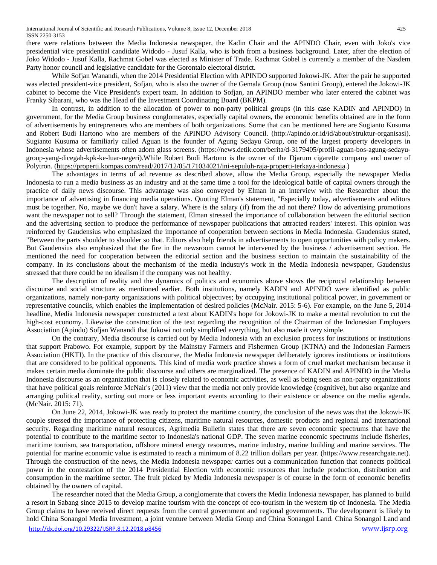International Journal of Scientific and Research Publications, Volume 8, Issue 12, December 2018 425 ISSN 2250-3153

there were relations between the Media Indonesia newspaper, the Kadin Chair and the APINDO Chair, even with Joko's vice presidential vice presidential candidate Widodo - Jusuf Kalla, who is both from a business background. Later, after the election of Joko Widodo - Jusuf Kalla, Rachmat Gobel was elected as Minister of Trade. Rachmat Gobel is currently a member of the Nasdem Party honor council and legislative candidate for the Gorontalo electoral district.

While Sofjan Wanandi, when the 2014 Presidential Election with APINDO supported Jokowi-JK. After the pair he supported was elected president-vice president, Sofjan, who is also the owner of the Gemala Group (now Santini Group), entered the Jokowi-JK cabinet to become the Vice President's expert team. In addition to Sofjan, an APINDO member who later entered the cabinet was Franky Sibarani, who was the Head of the Investment Coordinating Board (BKPM).

In contrast, in addition to the allocation of power to non-party political groups (in this case KADIN and APINDO) in government, for the Media Group business conglomerates, especially capital owners, the economic benefits obtained are in the form of advertisements by entrepreneurs who are members of both organizations. Some that can be mentioned here are Sugianto Kusuma and Robert Budi Hartono who are members of the APINDO Advisory Council. (http://apindo.or.id/id/about/struktur-organisasi). Sugianto Kusuma or familiarly called Aguan is the founder of Agung Sedayu Group, one of the largest property developers in Indonesia whose advertisements often adorn glass screens. (https://news.detik.com/berita/d-3179405/profil-aguan-bos-agung-sedayugroup-yang-dicegah-kpk-ke-luar-negeri).While Robert Budi Hartono is the owner of the Djarum cigarette company and owner of Polytron. [\(https://properti.kompas.com/read/2017/12/05/171034021/ini-sepuluh-raja-properti-terkaya-indonesia.](https://properti.kompas.com/read/2017/12/05/171034021/ini-sepuluh-raja-properti-terkaya-indonesia))

The advantages in terms of ad revenue as described above, allow the Media Group, especially the newspaper Media Indonesia to run a media business as an industry and at the same time a tool for the ideological battle of capital owners through the practice of daily news discourse. This advantage was also conveyed by Elman in an interview with the Researcher about the importance of advertising in financing media operations. Quoting Elman's statement, "Especially today, advertisements and editors must be together. No, maybe we don't have a salary. Where is the salary (if) from the ad not there? How do advertising promotions want the newspaper not to sell? Through the statement, Elman stressed the importance of collaboration between the editorial section and the advertising section to produce the performance of newspaper publications that attracted readers' interest. This opinion was reinforced by Gaudensius who emphasized the importance of cooperation between sections in Media Indonesia. Gaudensius stated, "Between the parts shoulder to shoulder so that. Editors also help friends in advertisements to open opportunities with policy makers. But Gaudensius also emphasized that the fire in the newsroom cannot be intervened by the business / advertisement section. He mentioned the need for cooperation between the editorial section and the business section to maintain the sustainability of the company. In its conclusions about the mechanism of the media industry's work in the Media Indonesia newspaper, Gaudensius stressed that there could be no idealism if the company was not healthy.

The description of reality and the dynamics of politics and economics above shows the reciprocal relationship between discourse and social structure as mentioned earlier. Both institutions, namely KADIN and APINDO were identified as public organizations, namely non-party organizations with political objectives; by occupying institutional political power, in government or representative councils, which enables the implementation of desired policies (McNair. 2015: 5-6). For example, on the June 5, 2014 headline, Media Indonesia newspaper constructed a text about KADIN's hope for Jokowi-JK to make a mental revolution to cut the high-cost economy. Likewise the construction of the text regarding the recognition of the Chairman of the Indonesian Employers Association (Apindo) Sofjan Wanandi that Jokowi not only simplified everything, but also made it very simple.

On the contrary, Media discourse is carried out by Media Indonesia with an exclusion process for institutions or institutions that support Prabowo. For example, support by the Mainstay Farmers and Fishermen Group (KTNA) and the Indonesian Farmers Association (HKTI). In the practice of this discourse, the Media Indonesia newspaper deliberately ignores institutions or institutions that are considered to be political opponents. This kind of media work practice shows a form of cruel market mechanism because it makes certain media dominate the public discourse and others are marginalized. The presence of KADIN and APINDO in the Media Indonesia discourse as an organization that is closely related to economic activities, as well as being seen as non-party organizations that have political goals reinforce McNair's (2011) view that the media not only provide knowledge (cognitive), but also organize and arranging political reality, sorting out more or less important events according to their existence or absence on the media agenda. (McNair. 2015: 71).

On June 22, 2014, Jokowi-JK was ready to protect the maritime country, the conclusion of the news was that the Jokowi-JK couple stressed the importance of protecting citizens, maritime natural resources, domestic products and regional and international security. Regarding maritime natural resources, Agrimedia Bulletin states that there are seven economic spectrums that have the potential to contribute to the maritime sector to Indonesia's national GDP. The seven marine economic spectrums include fisheries, maritime tourism, sea transportation, offshore mineral energy resources, marine industry, marine building and marine services. The potential for marine economic value is estimated to reach a minimum of 8.22 trillion dollars per year. (https://www.researchgate.net). Through the construction of the news, the Media Indonesia newspaper carries out a communication function that connects political power in the contestation of the 2014 Presidential Election with economic resources that include production, distribution and consumption in the maritime sector. The fruit picked by Media Indonesia newspaper is of course in the form of economic benefits obtained by the owners of capital.

<http://dx.doi.org/10.29322/IJSRP.8.12.2018.p8456> [www.ijsrp.org](http://ijsrp.org/) The researcher noted that the Media Group, a conglomerate that covers the Media Indonesia newspaper, has planned to build a resort in Sabang since 2015 to develop marine tourism with the concept of eco-tourism in the western tip of Indonesia. The Media Group claims to have received direct requests from the central government and regional governments. The development is likely to hold China Sonangol Media Investment, a joint venture between Media Group and China Sonangol Land. China Sonangol Land and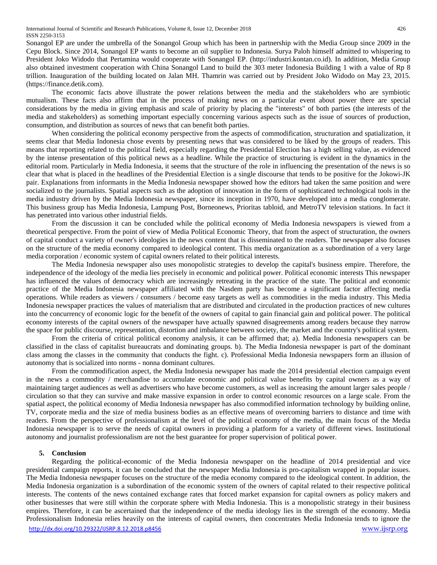Sonangol EP are under the umbrella of the Sonangol Group which has been in partnership with the Media Group since 2009 in the Cepu Block. Since 2014, Sonangol EP wants to become an oil supplier to Indonesia. Surya Paloh himself admitted to whispering to President Joko Widodo that Pertamina would cooperate with Sonangol EP. (http://industri.kontan.co.id). In addition, Media Group also obtained investment cooperation with China Sonangol Land to build the 303 meter Indonesia Building 1 with a value of Rp 8 trillion. Inauguration of the building located on Jalan MH. Thamrin was carried out by President Joko Widodo on May 23, 2015. (https://finance.detik.com).

The economic facts above illustrate the power relations between the media and the stakeholders who are symbiotic mutualism. These facts also affirm that in the process of making news on a particular event about power there are special considerations by the media in giving emphasis and scale of priority by placing the "interests" of both parties (the interests of the media and stakeholders) as something important especially concerning various aspects such as the issue of sources of production, consumption, and distribution as sources of news that can benefit both parties.

When considering the political economy perspective from the aspects of commodification, structuration and spatialization, it seems clear that Media Indonesia chose events by presenting news that was considered to be liked by the groups of readers. This means that reporting related to the political field, especially regarding the Presidential Election has a high selling value, as evidenced by the intense presentation of this political news as a headline. While the practice of structuring is evident in the dynamics in the editorial room. Particularly in Media Indonesia, it seems that the structure of the role in influencing the presentation of the news is so clear that what is placed in the headlines of the Presidential Election is a single discourse that tends to be positive for the Jokowi-JK pair. Explanations from informants in the Media Indonesia newspaper showed how the editors had taken the same position and were socialized to the journalists. Spatial aspects such as the adoption of innovation in the form of sophisticated technological tools in the media industry driven by the Media Indonesia newspaper, since its inception in 1970, have developed into a media conglomerate. This business group has Media Indonesia, Lampung Post, Borneonews, Prioritas tabloid, and MetroTV television stations. In fact it has penetrated into various other industrial fields.

From the discussion it can be concluded while the political economy of Media Indonesia newspapers is viewed from a theoretical perspective. From the point of view of Media Political Economic Theory, that from the aspect of structuration, the owners of capital conduct a variety of owner's ideologies in the news content that is disseminated to the readers. The newspaper also focuses on the structure of the media economy compared to ideological content. This media organization as a subordination of a very large media corporation / economic system of capital owners related to their political interests.

The Media Indonesia newspaper also uses monopolistic strategies to develop the capital's business empire. Therefore, the independence of the ideology of the media lies precisely in economic and political power. Political economic interests This newspaper has influenced the values of democracy which are increasingly retreating in the practice of the state. The political and economic practice of the Media Indonesia newspaper affiliated with the Nasdem party has become a significant factor affecting media operations. While readers as viewers / consumers / become easy targets as well as commodities in the media industry. This Media Indonesia newspaper practices the values of materialism that are distributed and circulated in the production practices of new cultures into the concurrency of economic logic for the benefit of the owners of capital to gain financial gain and political power. The political economy interests of the capital owners of the newspaper have actually spawned disagreements among readers because they narrow the space for public discourse, representation, distortion and imbalance between society, the market and the country's political system.

From the criteria of critical political economy analysis, it can be affirmed that; a). Media Indonesia newspapers can be classified in the class of capitalist bureaucrats and dominating groups. b). The Media Indonesia newspaper is part of the dominant class among the classes in the community that conducts the fight. c). Professional Media Indonesia newspapers form an illusion of autonomy that is socialized into norms - nonna dominant cultures.

From the commodification aspect, the Media Indonesia newspaper has made the 2014 presidential election campaign event in the news a commodity / merchandise to accumulate economic and political value benefits by capital owners as a way of maintaining target audiences as well as advertisers who have become customers, as well as increasing the amount larger sales people / circulation so that they can survive and make massive expansion in order to control economic resources on a large scale. From the spatial aspect, the political economy of Media Indonesia newspaper has also commodified information technology by building online, TV, corporate media and the size of media business bodies as an effective means of overcoming barriers to distance and time with readers. From the perspective of professionalism at the level of the political economy of the media, the main focus of the Media Indonesia newspaper is to serve the needs of capital owners in providing a platform for a variety of different views. Institutional autonomy and journalist professionalism are not the best guarantee for proper supervision of political power.

#### **5. Conclusion**

<http://dx.doi.org/10.29322/IJSRP.8.12.2018.p8456> [www.ijsrp.org](http://ijsrp.org/) Regarding the political-economic of the Media Indonesia newspaper on the headline of 2014 presidential and vice presidential campaign reports, it can be concluded that the newspaper Media Indonesia is pro-capitalism wrapped in popular issues. The Media Indonesia newspaper focuses on the structure of the media economy compared to the ideological content. In addition, the Media Indonesia organization is a subordination of the economic system of the owners of capital related to their respective political interests. The contents of the news contained exchange rates that forced market expansion for capital owners as policy makers and other businesses that were still within the corporate sphere with Media Indonesia. This is a monopolistic strategy in their business empires. Therefore, it can be ascertained that the independence of the media ideology lies in the strength of the economy. Media Professionalism Indonesia relies heavily on the interests of capital owners, then concentrates Media Indonesia tends to ignore the